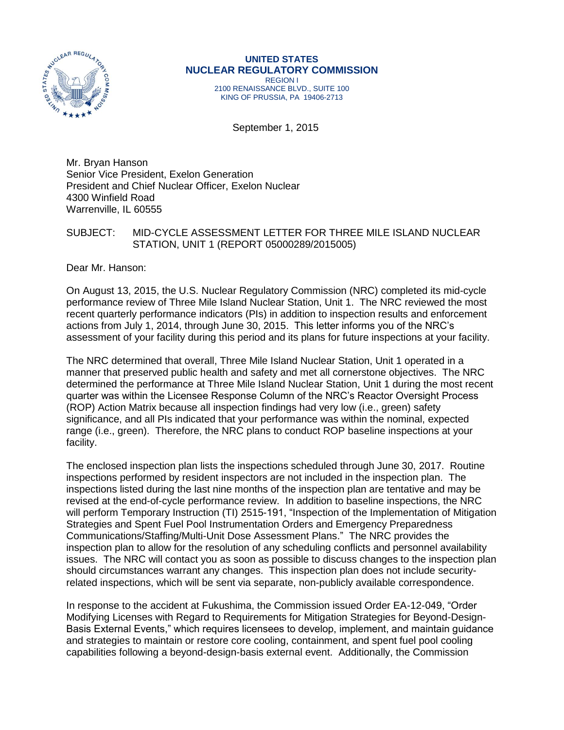

# **UNITED STATES NUCLEAR REGULATORY COMMISSION**

REGION I 2100 RENAISSANCE BLVD., SUITE 100 KING OF PRUSSIA, PA 19406-2713

September 1, 2015

Mr. Bryan Hanson Senior Vice President, Exelon Generation President and Chief Nuclear Officer, Exelon Nuclear 4300 Winfield Road Warrenville, IL 60555

### SUBJECT: MID-CYCLE ASSESSMENT LETTER FOR THREE MILE ISLAND NUCLEAR STATION, UNIT 1 (REPORT 05000289/2015005)

Dear Mr. Hanson:

On August 13, 2015, the U.S. Nuclear Regulatory Commission (NRC) completed its mid-cycle performance review of Three Mile Island Nuclear Station, Unit 1. The NRC reviewed the most recent quarterly performance indicators (PIs) in addition to inspection results and enforcement actions from July 1, 2014, through June 30, 2015. This letter informs you of the NRC's assessment of your facility during this period and its plans for future inspections at your facility.

The NRC determined that overall, Three Mile Island Nuclear Station, Unit 1 operated in a manner that preserved public health and safety and met all cornerstone objectives. The NRC determined the performance at Three Mile Island Nuclear Station, Unit 1 during the most recent quarter was within the Licensee Response Column of the NRC's Reactor Oversight Process (ROP) Action Matrix because all inspection findings had very low (i.e., green) safety significance, and all PIs indicated that your performance was within the nominal, expected range (i.e., green). Therefore, the NRC plans to conduct ROP baseline inspections at your facility.

The enclosed inspection plan lists the inspections scheduled through June 30, 2017. Routine inspections performed by resident inspectors are not included in the inspection plan. The inspections listed during the last nine months of the inspection plan are tentative and may be revised at the end-of-cycle performance review. In addition to baseline inspections, the NRC will perform Temporary Instruction (TI) 2515-191, "Inspection of the Implementation of Mitigation Strategies and Spent Fuel Pool Instrumentation Orders and Emergency Preparedness Communications/Staffing/Multi-Unit Dose Assessment Plans." The NRC provides the inspection plan to allow for the resolution of any scheduling conflicts and personnel availability issues. The NRC will contact you as soon as possible to discuss changes to the inspection plan should circumstances warrant any changes. This inspection plan does not include securityrelated inspections, which will be sent via separate, non-publicly available correspondence.

In response to the accident at Fukushima, the Commission issued Order EA-12-049, "Order Modifying Licenses with Regard to Requirements for Mitigation Strategies for Beyond-Design-Basis External Events," which requires licensees to develop, implement, and maintain guidance and strategies to maintain or restore core cooling, containment, and spent fuel pool cooling capabilities following a beyond-design-basis external event. Additionally, the Commission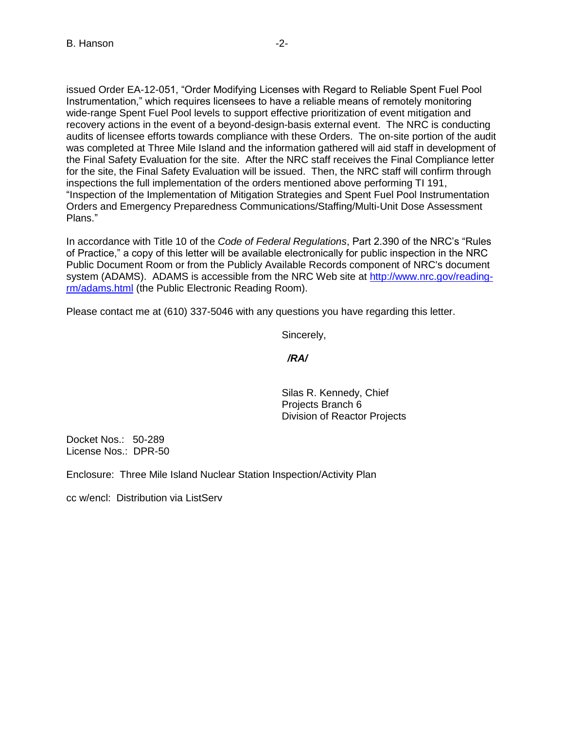issued Order EA-12-051, "Order Modifying Licenses with Regard to Reliable Spent Fuel Pool Instrumentation," which requires licensees to have a reliable means of remotely monitoring wide-range Spent Fuel Pool levels to support effective prioritization of event mitigation and recovery actions in the event of a beyond-design-basis external event. The NRC is conducting audits of licensee efforts towards compliance with these Orders. The on-site portion of the audit was completed at Three Mile Island and the information gathered will aid staff in development of the Final Safety Evaluation for the site. After the NRC staff receives the Final Compliance letter for the site, the Final Safety Evaluation will be issued. Then, the NRC staff will confirm through inspections the full implementation of the orders mentioned above performing TI 191, "Inspection of the Implementation of Mitigation Strategies and Spent Fuel Pool Instrumentation Orders and Emergency Preparedness Communications/Staffing/Multi-Unit Dose Assessment Plans."

In accordance with Title 10 of the *Code of Federal Regulations*, Part 2.390 of the NRC's "Rules of Practice," a copy of this letter will be available electronically for public inspection in the NRC Public Document Room or from the Publicly Available Records component of NRC's document system (ADAMS). ADAMS is accessible from the NRC Web site at [http://www.nrc.gov/reading](http://www.nrc.gov/reading-rm/adams.html)[rm/adams.html](http://www.nrc.gov/reading-rm/adams.html) (the Public Electronic Reading Room).

Please contact me at (610) 337-5046 with any questions you have regarding this letter.

Sincerely,

### */RA/*

Silas R. Kennedy, Chief Projects Branch 6 Division of Reactor Projects

Docket Nos.: 50-289 License Nos.: DPR-50

Enclosure: Three Mile Island Nuclear Station Inspection/Activity Plan

cc w/encl: Distribution via ListServ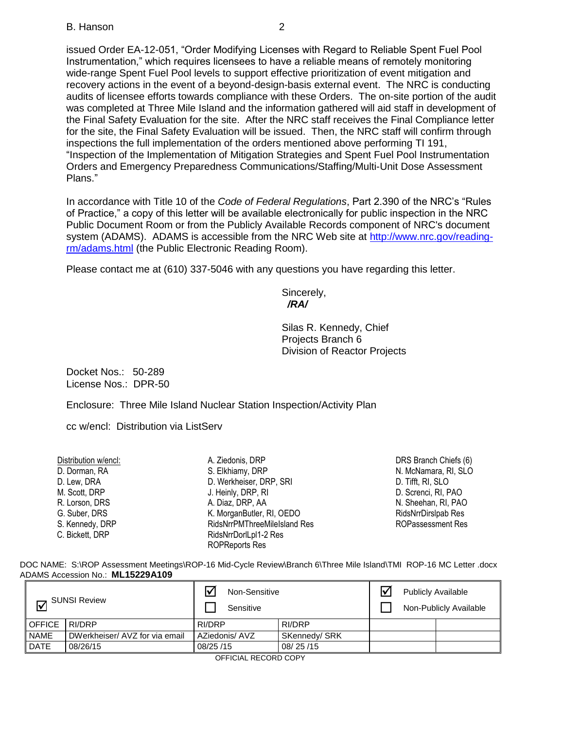#### B. Hanson 2

issued Order EA-12-051, "Order Modifying Licenses with Regard to Reliable Spent Fuel Pool Instrumentation," which requires licensees to have a reliable means of remotely monitoring wide-range Spent Fuel Pool levels to support effective prioritization of event mitigation and recovery actions in the event of a beyond-design-basis external event. The NRC is conducting audits of licensee efforts towards compliance with these Orders. The on-site portion of the audit was completed at Three Mile Island and the information gathered will aid staff in development of the Final Safety Evaluation for the site. After the NRC staff receives the Final Compliance letter for the site, the Final Safety Evaluation will be issued. Then, the NRC staff will confirm through inspections the full implementation of the orders mentioned above performing TI 191, "Inspection of the Implementation of Mitigation Strategies and Spent Fuel Pool Instrumentation Orders and Emergency Preparedness Communications/Staffing/Multi-Unit Dose Assessment Plans."

In accordance with Title 10 of the *Code of Federal Regulations*, Part 2.390 of the NRC's "Rules of Practice," a copy of this letter will be available electronically for public inspection in the NRC Public Document Room or from the Publicly Available Records component of NRC's document system (ADAMS). ADAMS is accessible from the NRC Web site at [http://www.nrc.gov/reading](http://www.nrc.gov/reading-rm/adams.html)[rm/adams.html](http://www.nrc.gov/reading-rm/adams.html) (the Public Electronic Reading Room).

Please contact me at (610) 337-5046 with any questions you have regarding this letter.

Sincerely,  */RA/*

Silas R. Kennedy, Chief Projects Branch 6 Division of Reactor Projects

Docket Nos.: 50-289 License Nos.: DPR-50

Enclosure: Three Mile Island Nuclear Station Inspection/Activity Plan

cc w/encl: Distribution via ListServ

| Distribution w/encl: |
|----------------------|
| D. Dorman, RA        |
| D. Lew, DRA          |
| M. Scott, DRP        |
| R. Lorson, DRS       |
| G. Suber, DRS        |
| S. Kennedy, DRP      |
| C. Bickett, DRP      |
|                      |

A. Ziedonis, DRP S. Elkhiamy, DRP D. Werkheiser, DRP, SRI J. Heinly, DRP, RI A. Diaz, DRP, AA K. MorganButler, RI, OEDO RidsNrrPMThreeMileIsland Res RidsNrrDorlLpl1-2 Res ROPReports Res

DRS Branch Chiefs (6) N. McNamara, RI, SLO D. Tifft, RI, SLO D. Screnci, RI, PAO N. Sheehan, RI, PAO [RidsNrrDirslpab Res](mailto:RidsNrrDirslpab@nrc.gov) ROPassessment Res

DOC NAME: S:\ROP Assessment Meetings\ROP-16 Mid-Cycle Review\Branch 6\Three Mile Island\TMI ROP-16 MC Letter .docx ADAMS Accession No.: **ML15229A109** 

| <b>SUNSI Review</b>  |                                | Non-Sensitive<br>Sensitive |               | ١v | <b>Publicly Available</b> | Non-Publicly Available |  |
|----------------------|--------------------------------|----------------------------|---------------|----|---------------------------|------------------------|--|
| <b>OFFICE</b>        | RI/DRP                         | RI/DRP                     | RI/DRP        |    |                           |                        |  |
| <b>NAME</b>          | DWerkheiser/ AVZ for via email | AZiedonis/AVZ              | SKennedy/ SRK |    |                           |                        |  |
| <b>DATE</b>          | 08/26/15                       | 08/25/15                   | 08/25/15      |    |                           |                        |  |
| AFFICIAL BECABB CABY |                                |                            |               |    |                           |                        |  |

OFFICIAL RECORD COPY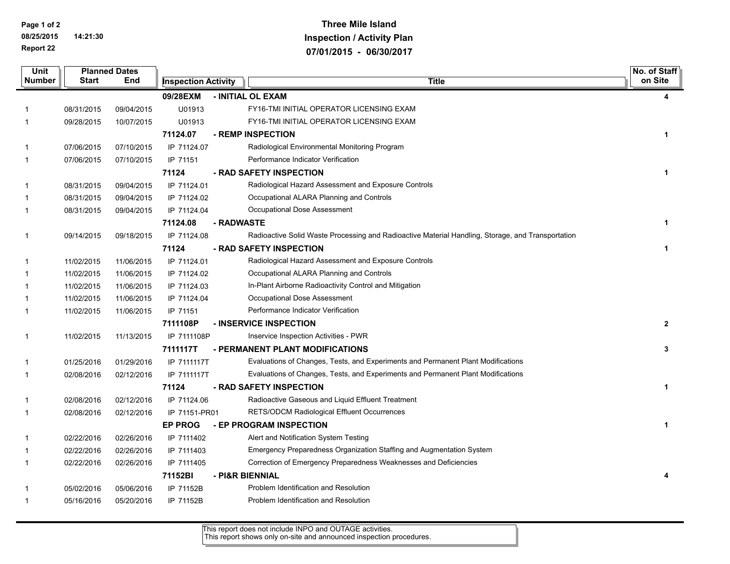**Page 1 of 2 08/25/2015 14:21:30 Report 22**

## **Three Mile Island Inspection / Activity Plan 07/01/2015 - 06/30/2017**

| Unit          | <b>Planned Dates</b> |            |                            |            |                                                                                                   | No. of Staff |
|---------------|----------------------|------------|----------------------------|------------|---------------------------------------------------------------------------------------------------|--------------|
| <b>Number</b> | Start                | End        | <b>Inspection Activity</b> |            | <b>Title</b>                                                                                      | on Site      |
|               |                      |            | 09/28EXM                   |            | - INITIAL OL EXAM                                                                                 | 4            |
|               | 08/31/2015           | 09/04/2015 | U01913                     |            | FY16-TMI INITIAL OPERATOR LICENSING EXAM                                                          |              |
| 1             | 09/28/2015           | 10/07/2015 | U01913                     |            | FY16-TMI INITIAL OPERATOR LICENSING EXAM                                                          |              |
|               |                      |            | 71124.07                   |            | - REMP INSPECTION                                                                                 | $\mathbf 1$  |
| -1            | 07/06/2015           | 07/10/2015 | IP 71124.07                |            | Radiological Environmental Monitoring Program                                                     |              |
| 1             | 07/06/2015           | 07/10/2015 | IP 71151                   |            | Performance Indicator Verification                                                                |              |
|               |                      |            | 71124                      |            | - RAD SAFETY INSPECTION                                                                           | 1            |
| -1            | 08/31/2015           | 09/04/2015 | IP 71124.01                |            | Radiological Hazard Assessment and Exposure Controls                                              |              |
| 1             | 08/31/2015           | 09/04/2015 | IP 71124.02                |            | Occupational ALARA Planning and Controls                                                          |              |
| 1             | 08/31/2015           | 09/04/2015 | IP 71124.04                |            | Occupational Dose Assessment                                                                      |              |
|               |                      |            | 71124.08                   | - RADWASTE |                                                                                                   | $\mathbf 1$  |
| $\mathbf{1}$  | 09/14/2015           | 09/18/2015 | IP 71124.08                |            | Radioactive Solid Waste Processing and Radioactive Material Handling, Storage, and Transportation |              |
|               |                      |            | 71124                      |            | - RAD SAFETY INSPECTION                                                                           | $\mathbf 1$  |
| 1             | 11/02/2015           | 11/06/2015 | IP 71124.01                |            | Radiological Hazard Assessment and Exposure Controls                                              |              |
|               | 11/02/2015           | 11/06/2015 | IP 71124.02                |            | Occupational ALARA Planning and Controls                                                          |              |
| 1             | 11/02/2015           | 11/06/2015 | IP 71124.03                |            | In-Plant Airborne Radioactivity Control and Mitigation                                            |              |
| 1             | 11/02/2015           | 11/06/2015 | IP 71124.04                |            | Occupational Dose Assessment                                                                      |              |
| 1             | 11/02/2015           | 11/06/2015 | IP 71151                   |            | Performance Indicator Verification                                                                |              |
|               |                      |            | 7111108P                   |            | - INSERVICE INSPECTION                                                                            | $\mathbf{2}$ |
| 1             | 11/02/2015           | 11/13/2015 | IP 7111108P                |            | Inservice Inspection Activities - PWR                                                             |              |
|               |                      |            | 7111117T                   |            | - PERMANENT PLANT MODIFICATIONS                                                                   | 3            |
| 1             | 01/25/2016           | 01/29/2016 | IP 7111117T                |            | Evaluations of Changes, Tests, and Experiments and Permanent Plant Modifications                  |              |
| 1             | 02/08/2016           | 02/12/2016 | IP 7111117T                |            | Evaluations of Changes, Tests, and Experiments and Permanent Plant Modifications                  |              |
|               |                      |            | 71124                      |            | - RAD SAFETY INSPECTION                                                                           | $\mathbf 1$  |
| 1             | 02/08/2016           | 02/12/2016 | IP 71124.06                |            | Radioactive Gaseous and Liquid Effluent Treatment                                                 |              |
| 1             | 02/08/2016           | 02/12/2016 | IP 71151-PR01              |            | RETS/ODCM Radiological Effluent Occurrences                                                       |              |
|               |                      |            | <b>EP PROG</b>             |            | - EP PROGRAM INSPECTION                                                                           | $\mathbf{1}$ |
| 1             | 02/22/2016           | 02/26/2016 | IP 7111402                 |            | Alert and Notification System Testing                                                             |              |
| 1             | 02/22/2016           | 02/26/2016 | IP 7111403                 |            | Emergency Preparedness Organization Staffing and Augmentation System                              |              |
| 1             | 02/22/2016           | 02/26/2016 | IP 7111405                 |            | Correction of Emergency Preparedness Weaknesses and Deficiencies                                  |              |
|               |                      |            | 71152BI                    |            | - PI&R BIENNIAL                                                                                   | 4            |
| 1             | 05/02/2016           | 05/06/2016 | IP 71152B                  |            | Problem Identification and Resolution                                                             |              |
| 1             | 05/16/2016           | 05/20/2016 | IP 71152B                  |            | Problem Identification and Resolution                                                             |              |

This report does not include INPO and OUTAGE activities. This report shows only on-site and announced inspection procedures.